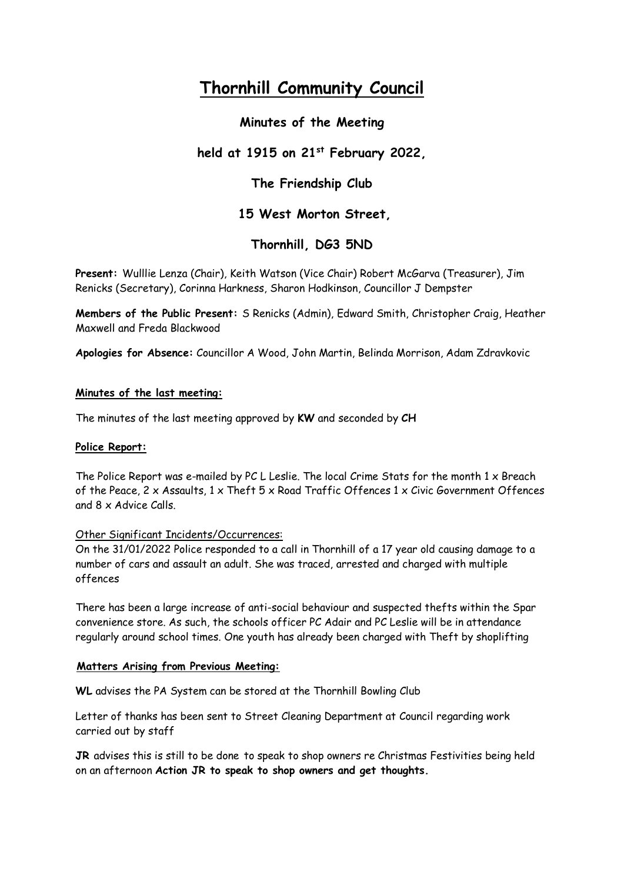# **Thornhill Community Council**

# **Minutes of the Meeting**

# **held at 1915 on 21st February 2022,**

# **The Friendship Club**

## **15 West Morton Street,**

# **Thornhill, DG3 5ND**

**Present:** Wulllie Lenza (Chair), Keith Watson (Vice Chair) Robert McGarva (Treasurer), Jim Renicks (Secretary), Corinna Harkness, Sharon Hodkinson, Councillor J Dempster

**Members of the Public Present:** S Renicks (Admin), Edward Smith, Christopher Craig, Heather Maxwell and Freda Blackwood

**Apologies for Absence:** Councillor A Wood, John Martin, Belinda Morrison, Adam Zdravkovic

### **Minutes of the last meeting:**

The minutes of the last meeting approved by **KW** and seconded by **CH**

### **Police Report:**

The Police Report was e-mailed by PC L Leslie. The local Crime Stats for the month  $1 \times$  Breach of the Peace, 2 x Assaults, 1 x Theft 5 x Road Traffic Offences 1 x Civic Government Offences and 8 x Advice Calls.

### Other Significant Incidents/Occurrences:

On the 31/01/2022 Police responded to a call in Thornhill of a 17 year old causing damage to a number of cars and assault an adult. She was traced, arrested and charged with multiple offences

There has been a large increase of anti-social behaviour and suspected thefts within the Spar convenience store. As such, the schools officer PC Adair and PC Leslie will be in attendance regularly around school times. One youth has already been charged with Theft by shoplifting

### **Matters Arising from Previous Meeting:**

**WL** advises the PA System can be stored at the Thornhill Bowling Club

Letter of thanks has been sent to Street Cleaning Department at Council regarding work carried out by staff

**JR** advises this is still to be done to speak to shop owners re Christmas Festivities being held on an afternoon **Action JR to speak to shop owners and get thoughts.**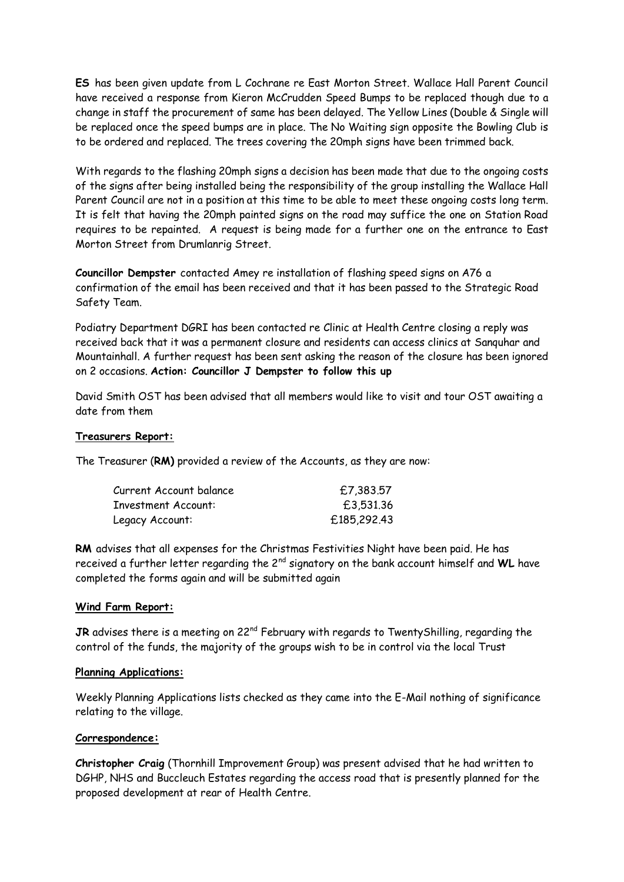**ES** has been given update from L Cochrane re East Morton Street. Wallace Hall Parent Council have received a response from Kieron McCrudden Speed Bumps to be replaced though due to a change in staff the procurement of same has been delayed. The Yellow Lines (Double & Single will be replaced once the speed bumps are in place. The No Waiting sign opposite the Bowling Club is to be ordered and replaced. The trees covering the 20mph signs have been trimmed back.

With regards to the flashing 20mph signs a decision has been made that due to the ongoing costs of the signs after being installed being the responsibility of the group installing the Wallace Hall Parent Council are not in a position at this time to be able to meet these ongoing costs long term. It is felt that having the 20mph painted signs on the road may suffice the one on Station Road requires to be repainted. A request is being made for a further one on the entrance to East Morton Street from Drumlanrig Street.

**Councillor Dempster** contacted Amey re installation of flashing speed signs on A76 a confirmation of the email has been received and that it has been passed to the Strategic Road Safety Team.

Podiatry Department DGRI has been contacted re Clinic at Health Centre closing a reply was received back that it was a permanent closure and residents can access clinics at Sanquhar and Mountainhall. A further request has been sent asking the reason of the closure has been ignored on 2 occasions. **Action: Councillor J Dempster to follow this up** 

David Smith OST has been advised that all members would like to visit and tour OST awaiting a date from them

### **Treasurers Report:**

The Treasurer (**RM)** provided a review of the Accounts, as they are now:

| Current Account balance | £7,383,57   |
|-------------------------|-------------|
| Investment Account:     | £3,531.36   |
| Legacy Account:         | £185,292.43 |

**RM** advises that all expenses for the Christmas Festivities Night have been paid. He has received a further letter regarding the 2nd signatory on the bank account himself and **WL** have completed the forms again and will be submitted again

#### **Wind Farm Report:**

**JR** advises there is a meeting on 22<sup>nd</sup> February with regards to TwentyShilling, regarding the control of the funds, the majority of the groups wish to be in control via the local Trust

#### **Planning Applications:**

Weekly Planning Applications lists checked as they came into the E-Mail nothing of significance relating to the village.

#### **Correspondence:**

**Christopher Craig** (Thornhill Improvement Group) was present advised that he had written to DGHP, NHS and Buccleuch Estates regarding the access road that is presently planned for the proposed development at rear of Health Centre.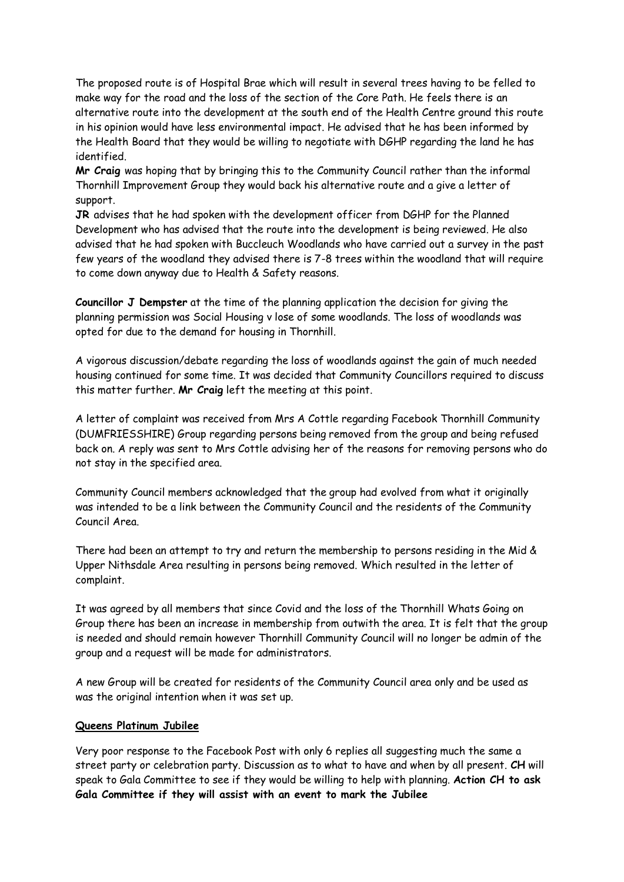The proposed route is of Hospital Brae which will result in several trees having to be felled to make way for the road and the loss of the section of the Core Path. He feels there is an alternative route into the development at the south end of the Health Centre ground this route in his opinion would have less environmental impact. He advised that he has been informed by the Health Board that they would be willing to negotiate with DGHP regarding the land he has identified.

**Mr Craig** was hoping that by bringing this to the Community Council rather than the informal Thornhill Improvement Group they would back his alternative route and a give a letter of support.

**JR** advises that he had spoken with the development officer from DGHP for the Planned Development who has advised that the route into the development is being reviewed. He also advised that he had spoken with Buccleuch Woodlands who have carried out a survey in the past few years of the woodland they advised there is 7-8 trees within the woodland that will require to come down anyway due to Health & Safety reasons.

**Councillor J Dempster** at the time of the planning application the decision for giving the planning permission was Social Housing v lose of some woodlands. The loss of woodlands was opted for due to the demand for housing in Thornhill.

A vigorous discussion/debate regarding the loss of woodlands against the gain of much needed housing continued for some time. It was decided that Community Councillors required to discuss this matter further. **Mr Craig** left the meeting at this point.

A letter of complaint was received from Mrs A Cottle regarding Facebook Thornhill Community (DUMFRIESSHIRE) Group regarding persons being removed from the group and being refused back on. A reply was sent to Mrs Cottle advising her of the reasons for removing persons who do not stay in the specified area.

Community Council members acknowledged that the group had evolved from what it originally was intended to be a link between the Community Council and the residents of the Community Council Area.

There had been an attempt to try and return the membership to persons residing in the Mid & Upper Nithsdale Area resulting in persons being removed. Which resulted in the letter of complaint.

It was agreed by all members that since Covid and the loss of the Thornhill Whats Going on Group there has been an increase in membership from outwith the area. It is felt that the group is needed and should remain however Thornhill Community Council will no longer be admin of the group and a request will be made for administrators.

A new Group will be created for residents of the Community Council area only and be used as was the original intention when it was set up.

#### **Queens Platinum Jubilee**

Very poor response to the Facebook Post with only 6 replies all suggesting much the same a street party or celebration party. Discussion as to what to have and when by all present. **CH** will speak to Gala Committee to see if they would be willing to help with planning. **Action CH to ask Gala Committee if they will assist with an event to mark the Jubilee**